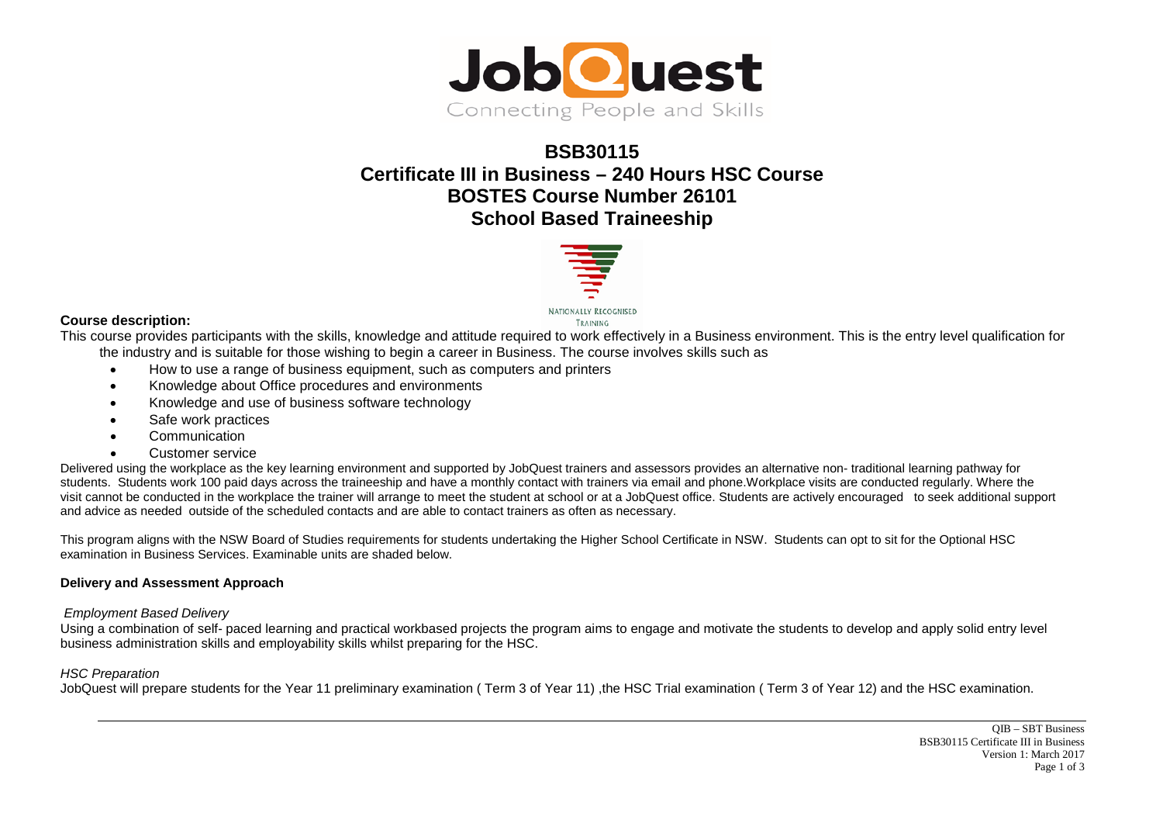

# **BSB30115 Certificate III in Business – 240 Hours HSC Course BOSTES Course Number 26101 School Based Traineeship**



## **Course description:**

This course provides participants with the skills, knowledge and attitude required to work effectively in a Business environment. This is the entry level qualification for the industry and is suitable for those wishing to begin a career in Business. The course involves skills such as

- How to use a range of business equipment, such as computers and printers
- Knowledge about Office procedures and environments
- Knowledge and use of business software technology
- Safe work practices
- Communication
- Customer service

Delivered using the workplace as the key learning environment and supported by JobQuest trainers and assessors provides an alternative non- traditional learning pathway for students. Students work 100 paid days across the traineeship and have a monthly contact with trainers via email and phone.Workplace visits are conducted regularly. Where the visit cannot be conducted in the workplace the trainer will arrange to meet the student at school or at a JobQuest office. Students are actively encouraged to seek additional support and advice as needed outside of the scheduled contacts and are able to contact trainers as often as necessary.

This program aligns with the NSW Board of Studies requirements for students undertaking the Higher School Certificate in NSW. Students can opt to sit for the Optional HSC examination in Business Services. Examinable units are shaded below.

### **Delivery and Assessment Approach**

#### *Employment Based Delivery*

Using a combination of self- paced learning and practical workbased projects the program aims to engage and motivate the students to develop and apply solid entry level business administration skills and employability skills whilst preparing for the HSC.

#### *HSC Preparation*

JobQuest will prepare students for the Year 11 preliminary examination ( Term 3 of Year 11) ,the HSC Trial examination ( Term 3 of Year 12) and the HSC examination.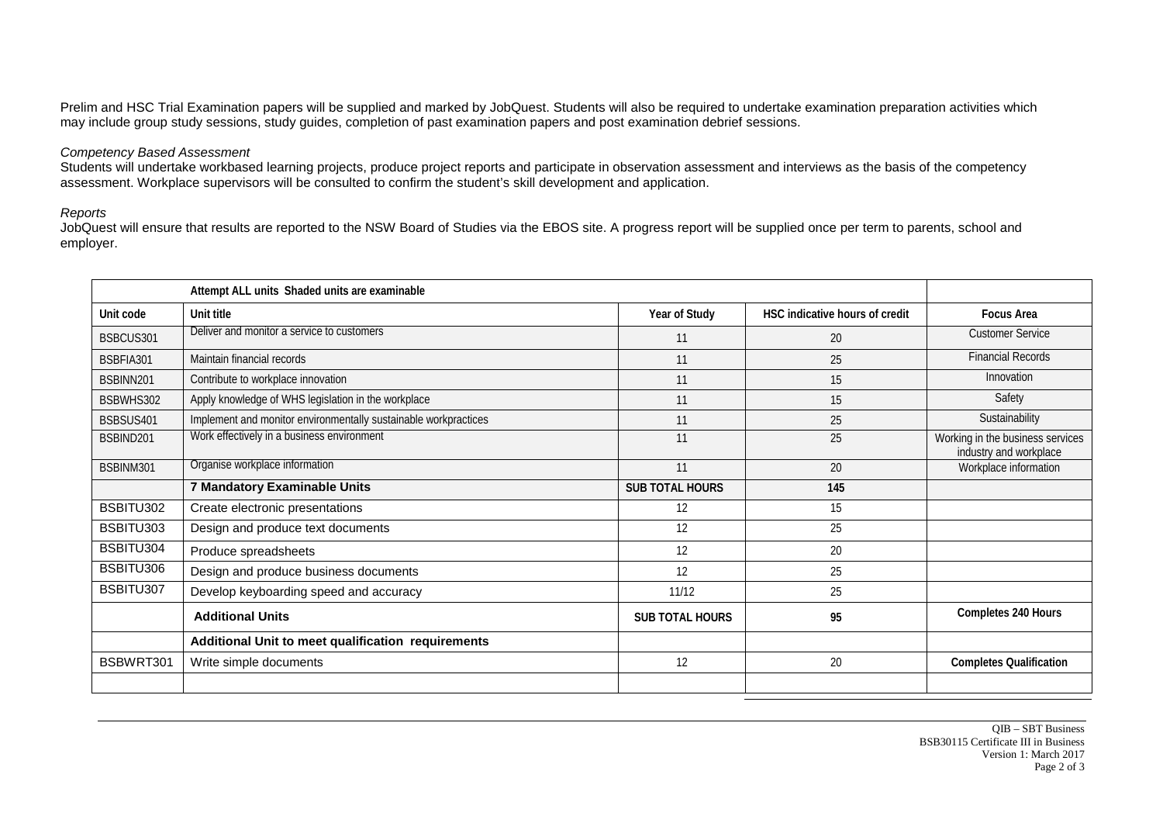Prelim and HSC Trial Examination papers will be supplied and marked by JobQuest. Students will also be required to undertake examination preparation activities which may include group study sessions, study guides, completion of past examination papers and post examination debrief sessions.

## *Competency Based Assessment*

Students will undertake workbased learning projects, produce project reports and participate in observation assessment and interviews as the basis of the competency assessment. Workplace supervisors will be consulted to confirm the student's skill development and application.

## *Reports*

JobQuest will ensure that results are reported to the NSW Board of Studies via the EBOS site. A progress report will be supplied once per term to parents, school and employer.

| Unit code | Unit title                                                      | Year of Study          | HSC indicative hours of credit | <b>Focus Area</b>                                          |
|-----------|-----------------------------------------------------------------|------------------------|--------------------------------|------------------------------------------------------------|
| BSBCUS301 | Deliver and monitor a service to customers                      | 11                     | 20                             | <b>Customer Service</b>                                    |
| BSBFIA301 | Maintain financial records                                      | 11                     | 25                             | <b>Financial Records</b>                                   |
| BSBINN201 | Contribute to workplace innovation                              | 11                     | 15                             | Innovation                                                 |
| BSBWHS302 | Apply knowledge of WHS legislation in the workplace             | 11                     | 15                             | Safety                                                     |
| BSBSUS401 | Implement and monitor environmentally sustainable workpractices | 11                     | 25                             | Sustainability                                             |
| BSBIND201 | Work effectively in a business environment                      | 11                     | 25                             | Working in the business services<br>industry and workplace |
| BSBINM301 | Organise workplace information                                  | 11                     | 20                             | Workplace information                                      |
|           | 7 Mandatory Examinable Units                                    | <b>SUB TOTAL HOURS</b> | 145                            |                                                            |
| BSBITU302 | Create electronic presentations                                 | 12                     | 15                             |                                                            |
| BSBITU303 | Design and produce text documents                               | 12                     | 25                             |                                                            |
| BSBITU304 | Produce spreadsheets                                            | 12                     | 20                             |                                                            |
| BSBITU306 | Design and produce business documents                           | 12                     | 25                             |                                                            |
| BSBITU307 | Develop keyboarding speed and accuracy                          | 11/12                  | 25                             |                                                            |
|           | <b>Additional Units</b>                                         | <b>SUB TOTAL HOURS</b> | 95                             | Completes 240 Hours                                        |
|           | Additional Unit to meet qualification requirements              |                        |                                |                                                            |
| BSBWRT301 | Write simple documents                                          | 12                     | 20                             | <b>Completes Qualification</b>                             |
|           |                                                                 |                        |                                |                                                            |